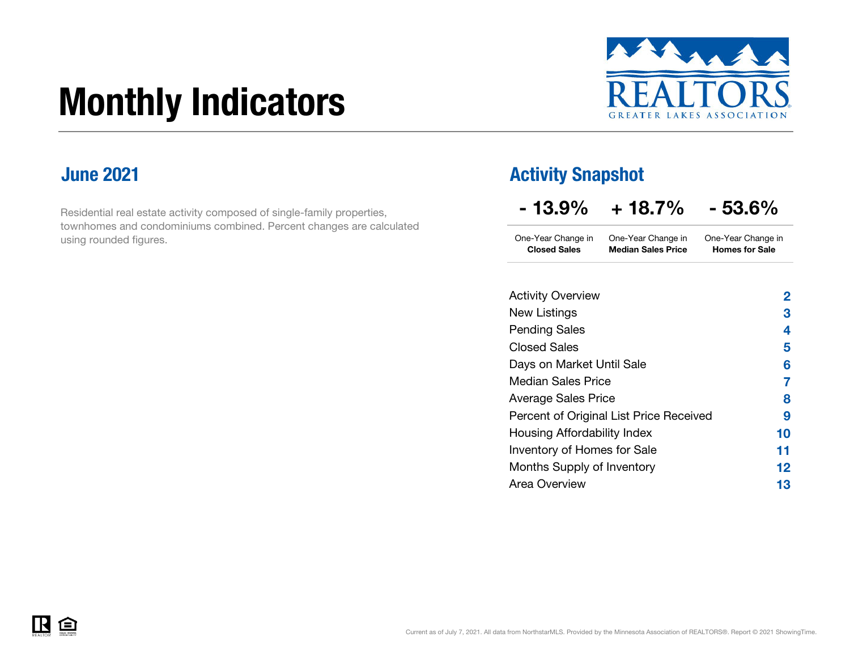# Monthly Indicators



#### June 2021

Residential real estate activity composed of single-family properties, townhomes and condominiums combined. Percent changes are calculated using rounded figures.

#### Activity Snapshot

| $-13.9\%$ | $+18.7%$ | $-53.6%$ |
|-----------|----------|----------|
|-----------|----------|----------|

One-Year Change in One-Year Change in Closed Sales Median Sales PriceOne-Year Change in Homes for Sale

| <b>Activity Overview</b>                | 2  |
|-----------------------------------------|----|
| New Listings                            | З  |
| <b>Pending Sales</b>                    | 4  |
| <b>Closed Sales</b>                     | 5  |
| Days on Market Until Sale               | 6  |
| <b>Median Sales Price</b>               | 7  |
| <b>Average Sales Price</b>              | 8  |
| Percent of Original List Price Received | 9  |
| Housing Affordability Index             | 10 |
| Inventory of Homes for Sale             | 11 |
| Months Supply of Inventory              | 12 |
| Area Overview                           | 13 |
|                                         |    |

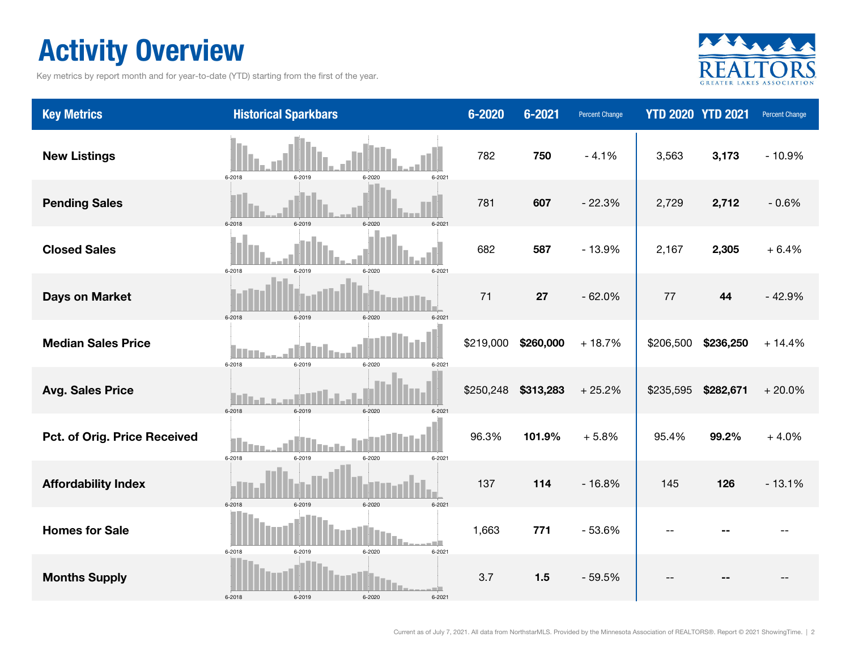### Activity Overview

Key metrics by report month and for year-to-date (YTD) starting from the first of the year.



| <b>Key Metrics</b>           | <b>Historical Sparkbars</b>                      | $6 - 2020$ | 6-2021    | <b>Percent Change</b> |           | <b>YTD 2020 YTD 2021</b> | Percent Change |
|------------------------------|--------------------------------------------------|------------|-----------|-----------------------|-----------|--------------------------|----------------|
| <b>New Listings</b>          | 6-2019<br>6-2018<br>6-2020<br>$6 - 2021$         | 782        | 750       | $-4.1%$               | 3,563     | 3,173                    | $-10.9%$       |
| <b>Pending Sales</b>         | 6-2018<br>6-2019<br>6-2020<br>$6 - 202$          | 781        | 607       | $-22.3%$              | 2,729     | 2,712                    | $-0.6%$        |
| <b>Closed Sales</b>          | 6-2018<br>6-2019<br>6-2020<br>$6 - 2021$         | 682        | 587       | $-13.9%$              | 2,167     | 2,305                    | $+6.4%$        |
| <b>Days on Market</b>        | 6-2018<br>6-2019<br>6-2020<br>$6 - 202$          | 71         | 27        | $-62.0%$              | 77        | 44                       | $-42.9%$       |
| <b>Median Sales Price</b>    | $\Box$<br>6-2019<br>6-2018<br>6-2020<br>6-2021   | \$219,000  | \$260,000 | $+18.7%$              | \$206,500 | \$236,250                | $+14.4%$       |
| <b>Avg. Sales Price</b>      | 6-2018<br>6-2019<br>6-2020<br>$6 - 202$          | \$250,248  | \$313,283 | $+25.2%$              | \$235,595 | \$282,671                | $+20.0%$       |
| Pct. of Orig. Price Received | $\Box$<br>6-2018<br>6-2019<br>6-2021<br>6-2020   | 96.3%      | 101.9%    | $+5.8%$               | 95.4%     | 99.2%                    | $+4.0%$        |
| <b>Affordability Index</b>   | 6-2019<br>6-2018<br>6-2020<br>$6 - 2021$         | 137        | 114       | $-16.8%$              | 145       | 126                      | $-13.1%$       |
| <b>Homes for Sale</b>        | 6-2018<br>6-2019<br>6-2020<br>6-2021             | 1,663      | 771       | $-53.6%$              |           |                          |                |
| <b>Months Supply</b>         | الأك<br>6-2018<br>6-2019<br>6-2020<br>$6 - 2021$ | 3.7        | 1.5       | $-59.5%$              |           |                          |                |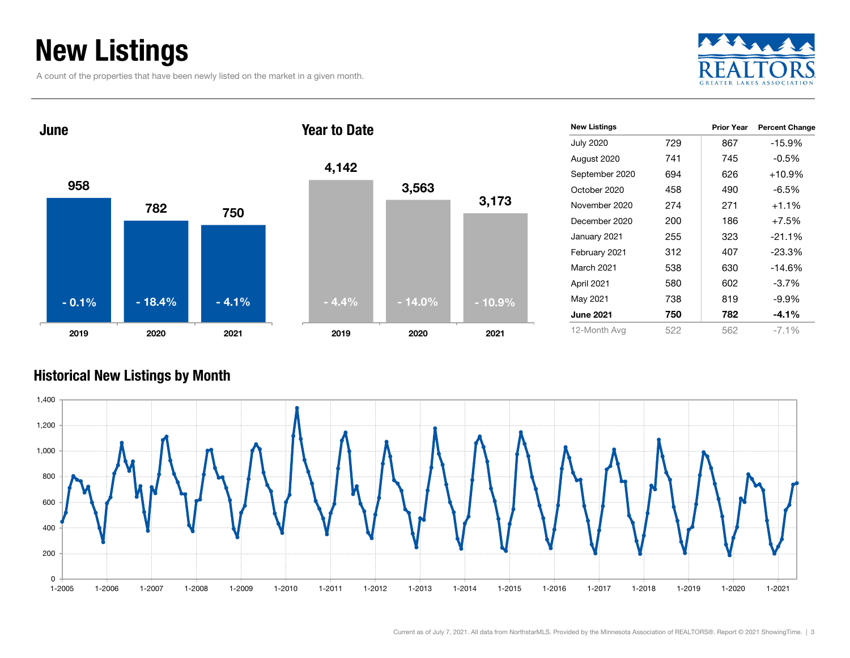## New Listings

A count of the properties that have been newly listed on the market in a given month.



Prior Year Percent Change



| <b>Historical New Listings by Month</b> |  |  |
|-----------------------------------------|--|--|

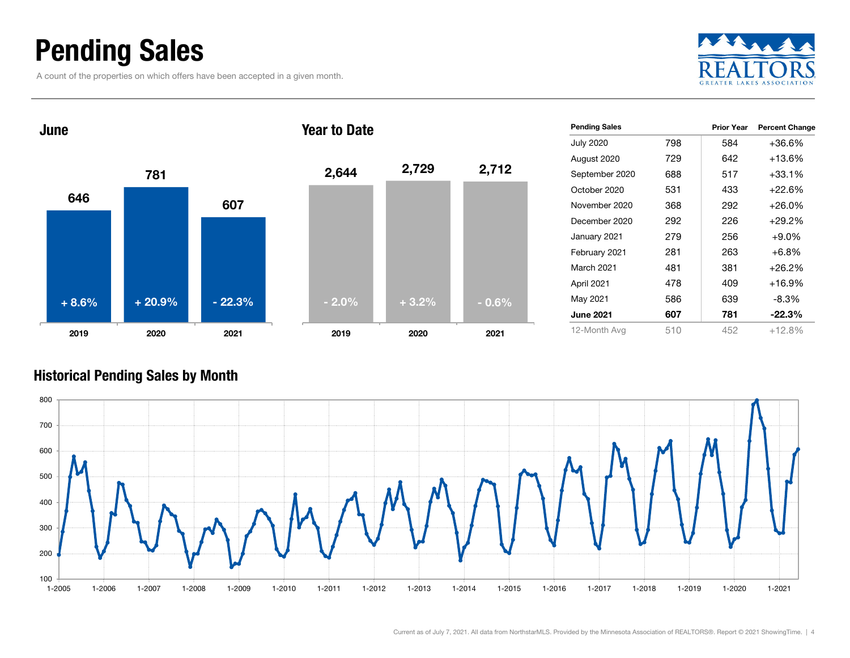### Pending Sales

A count of the properties on which offers have been accepted in a given month.





#### Historical Pending Sales by Month

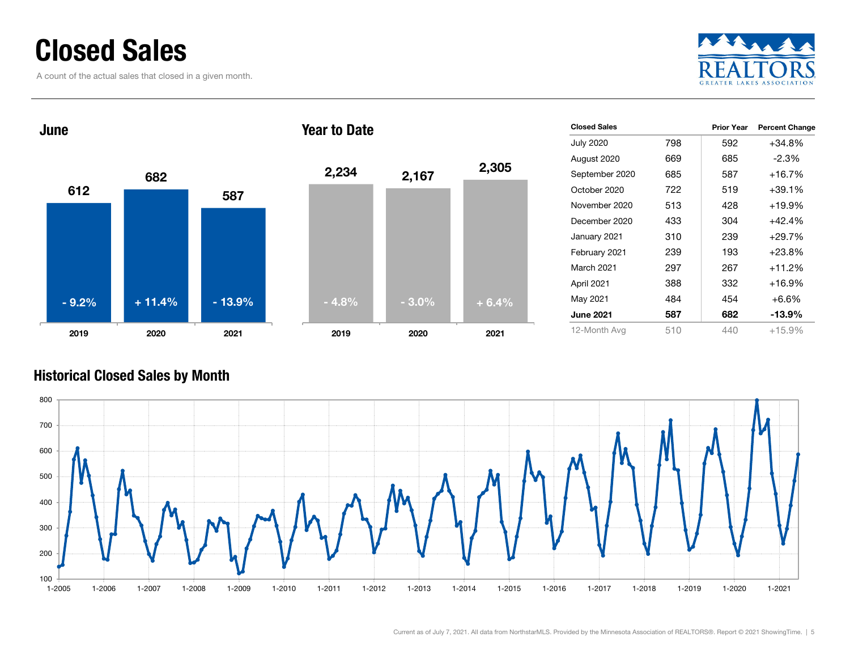### Closed Sales

A count of the actual sales that closed in a given month.





#### Historical Closed Sales by Month

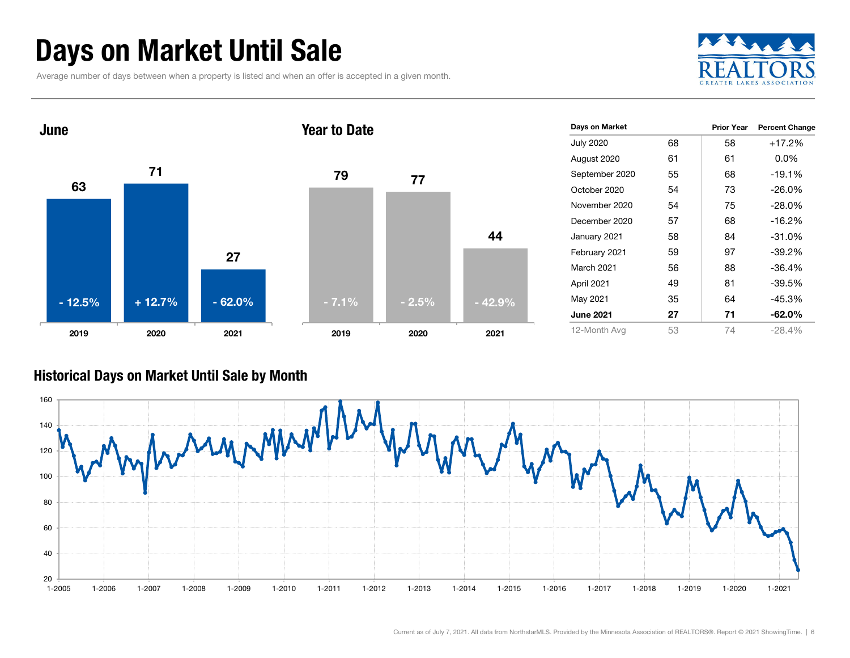### Days on Market Until Sale

Average number of days between when a property is listed and when an offer is accepted in a given month.





#### Historical Days on Market Until Sale by Month

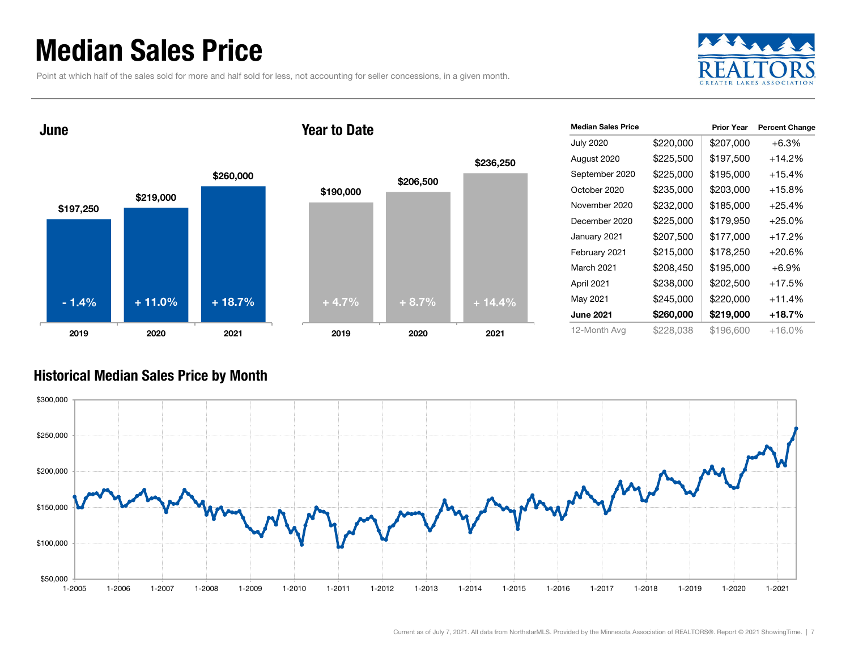### Median Sales Price

Point at which half of the sales sold for more and half sold for less, not accounting for seller concessions, in a given month.



June





| <b>Median Sales Price</b> |           | <b>Prior Year</b> | <b>Percent Change</b> |
|---------------------------|-----------|-------------------|-----------------------|
| <b>July 2020</b>          | \$220,000 | \$207,000         | $+6.3%$               |
| August 2020               | \$225,500 | \$197,500         | $+14.2\%$             |
| September 2020            | \$225,000 | \$195,000         | +15.4%                |
| October 2020              | \$235,000 | \$203,000         | +15.8%                |
| November 2020             | \$232,000 | \$185,000         | +25.4%                |
| December 2020             | \$225,000 | \$179,950         | $+25.0\%$             |
| January 2021              | \$207,500 | \$177,000         | +17.2%                |
| February 2021             | \$215,000 | \$178,250         | $+20.6%$              |
| March 2021                | \$208,450 | \$195,000         | $+6.9\%$              |
| April 2021                | \$238,000 | \$202,500         | +17.5%                |
| May 2021                  | \$245,000 | \$220,000         | $+11.4%$              |
| <b>June 2021</b>          | \$260,000 | \$219,000         | +18.7%                |
| 12-Month Avg              | \$228,038 | \$196,600         | +16.0%                |

#### Historical Median Sales Price by Month

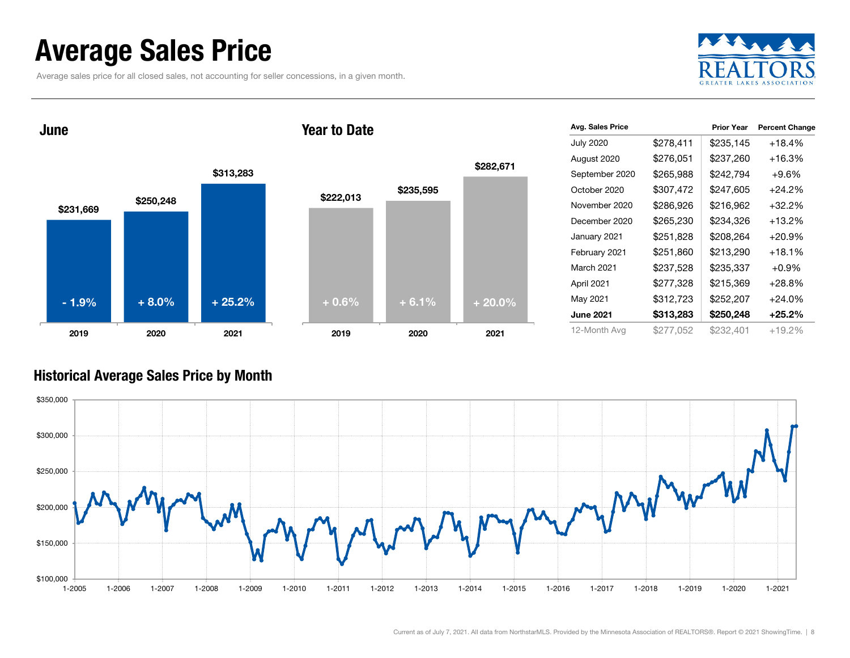### Average Sales Price

Average sales price for all closed sales, not accounting for seller concessions, in a given month.



June

#### Year to Date



| Avg. Sales Price |           | <b>Prior Year</b> | <b>Percent Change</b> |
|------------------|-----------|-------------------|-----------------------|
| <b>July 2020</b> | \$278,411 | \$235,145         | $+18.4%$              |
| August 2020      | \$276,051 | \$237,260         | $+16.3%$              |
| September 2020   | \$265,988 | \$242,794         | $+9.6\%$              |
| October 2020     | \$307,472 | \$247,605         | $+24.2%$              |
| November 2020    | \$286,926 | \$216,962         | $+32.2\%$             |
| December 2020    | \$265,230 | \$234,326         | $+13.2%$              |
| January 2021     | \$251,828 | \$208,264         | $+20.9%$              |
| February 2021    | \$251,860 | \$213,290         | $+18.1%$              |
| March 2021       | \$237,528 | \$235,337         | $+0.9%$               |
| April 2021       | \$277,328 | \$215,369         | $+28.8%$              |
| May 2021         | \$312,723 | \$252,207         | $+24.0\%$             |
| <b>June 2021</b> | \$313,283 | \$250,248         | $+25.2%$              |
| 12-Month Avg     | \$277,052 | \$232,401         | +19.2%                |

#### Historical Average Sales Price by Month

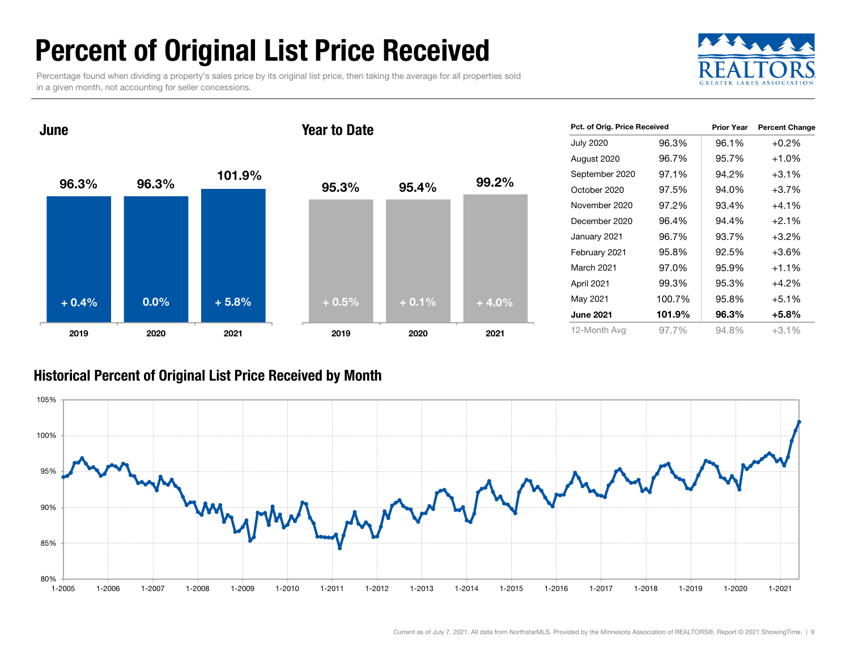## Percent of Original List Price Received

Percentage found when dividing a property's sales price by its original list price, then taking the average for all properties sold in a given month, not accounting for seller concessions.



96.3% 96.3% 101.9 %2019 2020 2021 June95.3% 95.4% 99.2% 2019 2020 2021 Year to Date<sup>+</sup> 0.4% $\%$  0.0% + 5.8% + 0.5% + 0.1% + 4.0%

| Pct. of Orig. Price Received |        | <b>Prior Year</b> | <b>Percent Change</b> |  |
|------------------------------|--------|-------------------|-----------------------|--|
| <b>July 2020</b>             | 96.3%  | 96.1%             | $+0.2%$               |  |
| August 2020                  | 96.7%  | 95.7%             | $+1.0%$               |  |
| September 2020               | 97.1%  | 94.2%             | $+3.1%$               |  |
| October 2020                 | 97.5%  | 94.0%             | $+3.7%$               |  |
| November 2020                | 97.2%  | 93.4%             | $+4.1%$               |  |
| December 2020                | 96.4%  | 94.4%             | $+2.1%$               |  |
| January 2021                 | 96.7%  | 93.7%             | $+3.2%$               |  |
| February 2021                | 95.8%  | 92.5%             | $+3.6%$               |  |
| March 2021                   | 97.0%  | 95.9%             | $+1.1\%$              |  |
| April 2021                   | 99.3%  | 95.3%             | $+4.2%$               |  |
| May 2021                     | 100.7% | 95.8%             | $+5.1%$               |  |
| <b>June 2021</b>             | 101.9% | 96.3%             | $+5.8%$               |  |
| 12-Month Avg                 | 97.7%  | 94.8%             | $+3.1\%$              |  |

#### Historical Percent of Original List Price Received by Month

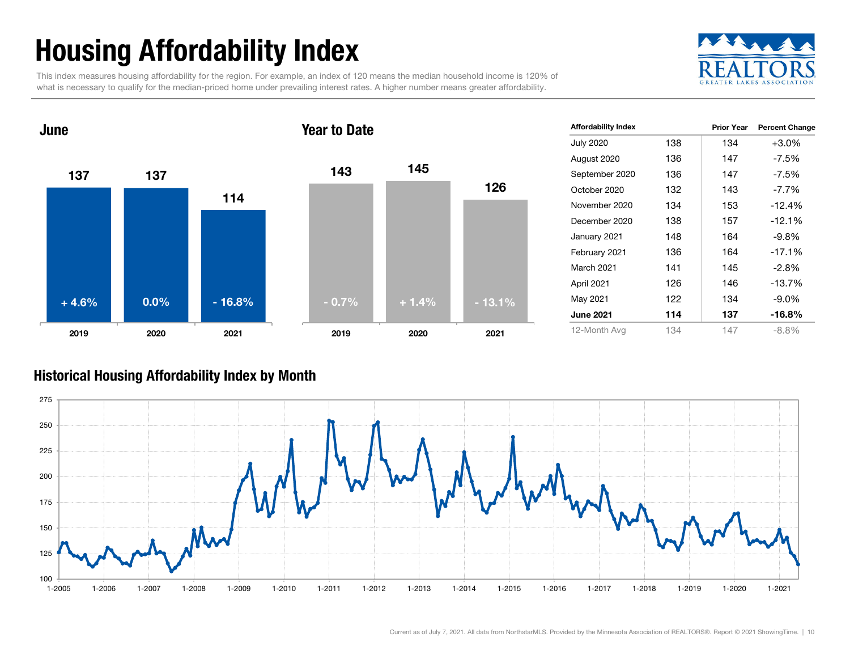# Housing Affordability Index

This index measures housing affordability for the region. For example, an index of 120 means the median household income is 120% of what is necessary to qualify for the median-priced home under prevailing interest rates. A higher number means greater affordability.





| <b>Affordability Index</b> |     | <b>Prior Year</b> | <b>Percent Change</b> |
|----------------------------|-----|-------------------|-----------------------|
| <b>July 2020</b>           | 138 | 134               | $+3.0%$               |
| August 2020                | 136 | 147               | -7.5%                 |
| September 2020             | 136 | 147               | -7.5%                 |
| October 2020               | 132 | 143               | $-7.7\%$              |
| November 2020              | 134 | 153               | $-12.4%$              |
| December 2020              | 138 | 157               | $-12.1%$              |
| January 2021               | 148 | 164               | -9.8%                 |
| February 2021              | 136 | 164               | $-17.1%$              |
| <b>March 2021</b>          | 141 | 145               | $-2.8%$               |
| April 2021                 | 126 | 146               | $-13.7%$              |
| May 2021                   | 122 | 134               | -9.0%                 |
| <b>June 2021</b>           | 114 | 137               | $-16.8%$              |
| 12-Month Avg               | 134 | 147               | $-8.8\%$              |

#### Historical Housing Affordability Index by Mont h

![](_page_9_Figure_6.jpeg)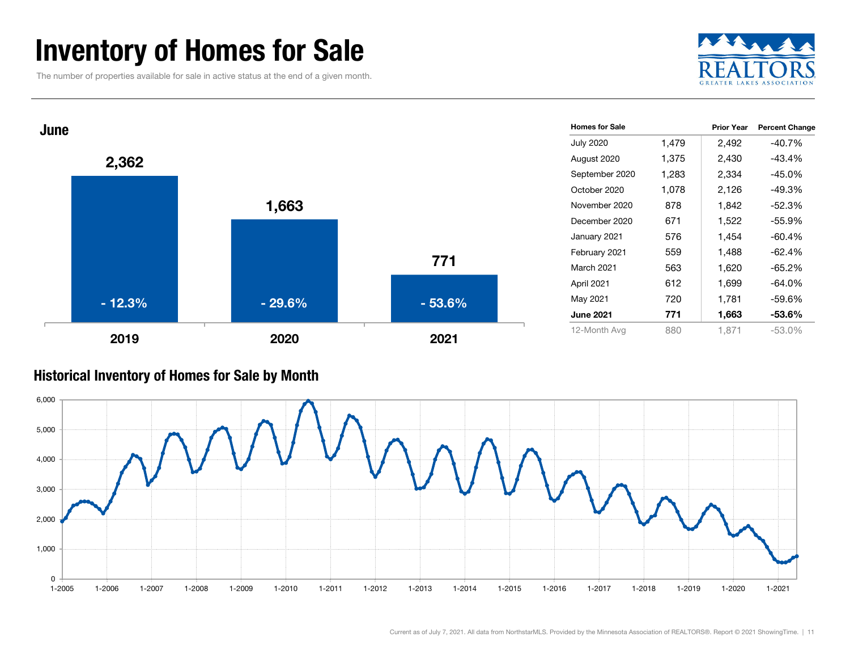### Inventory of Homes for Sale

The number of properties available for sale in active status at the end of a given month.

![](_page_10_Picture_2.jpeg)

![](_page_10_Figure_3.jpeg)

#### Historical Inventory of Homes for Sale by Month

![](_page_10_Figure_5.jpeg)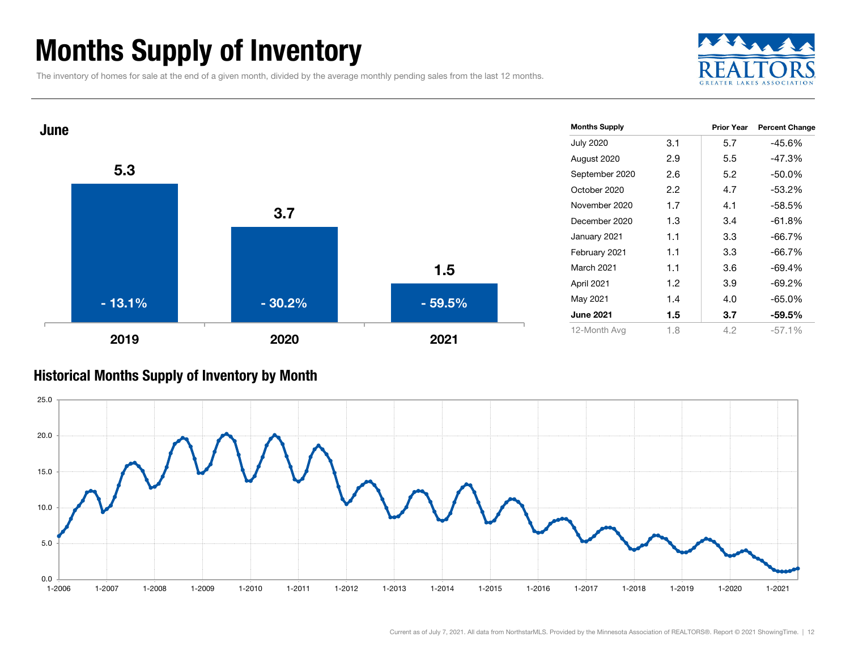### Months Supply of Inventory

The inventory of homes for sale at the end of a given month, divided by the average monthly pending sales from the last 12 months.

![](_page_11_Picture_2.jpeg)

![](_page_11_Figure_3.jpeg)

#### Historical Months Supply of Inventory by Month

![](_page_11_Figure_5.jpeg)